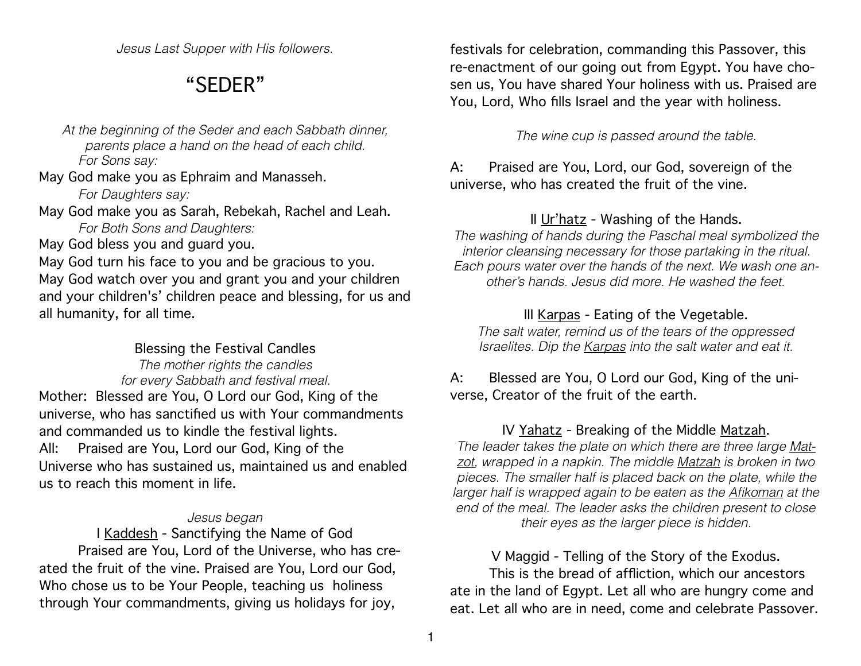*Jesus Last Supper with His followers.*

# "SEDER"

*At the beginning of the Seder and each Sabbath dinner, parents place a hand on the head of each child. For Sons say:*

May God make you as Ephraim and Manasseh.

 *For Daughters say:*

May God make you as Sarah, Rebekah, Rachel and Leah.  *For Both Sons and Daughters:*

May God bless you and guard you.

May God turn his face to you and be gracious to you. May God watch over you and grant you and your children and your children's' children peace and blessing, for us and all humanity, for all time.

# Blessing the Festival Candles

*The mother rights the candles for every Sabbath and festival meal.*  Mother: Blessed are You, O Lord our God, King of the universe, who has sanctified us with Your commandments and commanded us to kindle the festival lights. All: Praised are You, Lord our God, King of the Universe who has sustained us, maintained us and enabled us to reach this moment in life.

#### *Jesus began*

I Kaddesh - Sanctifying the Name of God Praised are You, Lord of the Universe, who has created the fruit of the vine. Praised are You, Lord our God, Who chose us to be Your People, teaching us holiness through Your commandments, giving us holidays for joy,

festivals for celebration, commanding this Passover, this re-enactment of our going out from Egypt. You have chosen us, You have shared Your holiness with us. Praised are You, Lord, Who fills Israel and the year with holiness.

*The wine cup is passed around the table.*

# A: Praised are You, Lord, our God, sovereign of the universe, who has created the fruit of the vine.

# II Ur'hatz - Washing of the Hands.

*The washing of hands during the Paschal meal symbolized the interior cleansing necessary for those partaking in the ritual. Each pours water over the hands of the next. We wash one another's hands. Jesus did more. He washed the feet.* 

# III Karpas - Eating of the Vegetable.

*The salt water, remind us of the tears of the oppressed Israelites. Dip the Karpas into the salt water and eat it.* 

# A: Blessed are You, O Lord our God, King of the universe, Creator of the fruit of the earth.

### IV Yahatz - Breaking of the Middle Matzah.

*The leader takes the plate on which there are three large Matzot, wrapped in a napkin. The middle Matzah is broken in two pieces. The smaller half is placed back on the plate, while the*  larger half is wrapped again to be eaten as the **Afikoman** at the *end of the meal. The leader asks the children present to close their eyes as the larger piece is hidden.* 

# V Maggid - Telling of the Story of the Exodus.

This is the bread of affliction, which our ancestors ate in the land of Egypt. Let all who are hungry come and eat. Let all who are in need, come and celebrate Passover.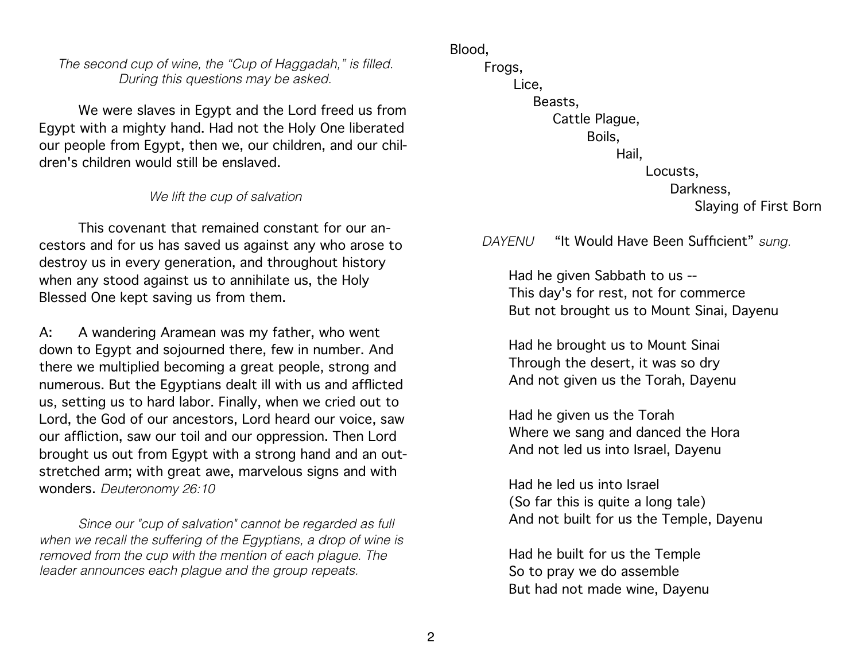*The second cup of wine, the "Cup of Haggadah," is filled. During this questions may be asked.* 

We were slaves in Egypt and the Lord freed us from Egypt with a mighty hand. Had not the Holy One liberated our people from Egypt, then we, our children, and our children's children would still be enslaved.

#### *We lift the cup of salvation*

This covenant that remained constant for our ancestors and for us has saved us against any who arose to destroy us in every generation, and throughout history when any stood against us to annihilate us, the Holy Blessed One kept saving us from them.

A: A wandering Aramean was my father, who went down to Egypt and sojourned there, few in number. And there we multiplied becoming a great people, strong and numerous. But the Egyptians dealt ill with us and afflicted us, setting us to hard labor. Finally, when we cried out to Lord, the God of our ancestors, Lord heard our voice, saw our affliction, saw our toil and our oppression. Then Lord brought us out from Egypt with a strong hand and an outstretched arm; with great awe, marvelous signs and with wonders. *Deuteronomy 26:10* 

*Since our "cup of salvation" cannot be regarded as full when we recall the suffering of the Egyptians, a drop of wine is removed from the cup with the mention of each plague. The leader announces each plague and the group repeats.* 

Blood, Frogs, Lice, Beasts, Cattle Plague, Boils, Hail, Locusts, Darkness, Slaying of First Born

*DAYENU* "It Would Have Been Sufficient" *sung.*

Had he given Sabbath to us -- This day's for rest, not for commerce But not brought us to Mount Sinai, Dayenu

Had he brought us to Mount Sinai Through the desert, it was so dry And not given us the Torah, Dayenu

Had he given us the Torah Where we sang and danced the Hora And not led us into Israel, Dayenu

Had he led us into Israel (So far this is quite a long tale) And not built for us the Temple, Dayenu

Had he built for us the Temple So to pray we do assemble But had not made wine, Dayenu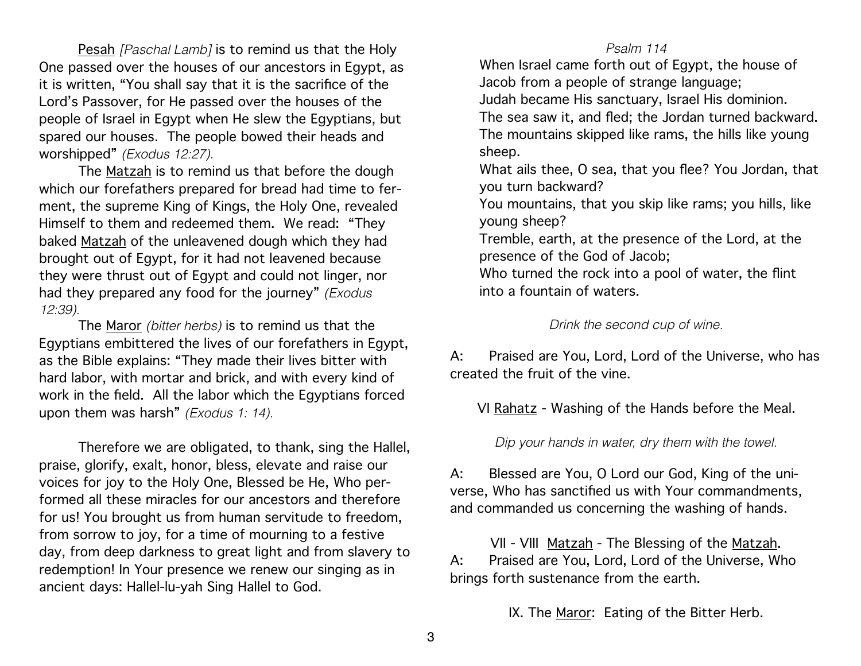Pesah *[Paschal Lamb]* is to remind us that the Holy One passed over the houses of our ancestors in Egypt, as it is written, "You shall say that it is the sacrifice of the Lord's Passover, for He passed over the houses of the people of Israel in Egypt when He slew the Egyptians, but spared our houses. The people bowed their heads and worshipped" *(Exodus 12:27).*

The Matzah is to remind us that before the dough which our forefathers prepared for bread had time to ferment, the supreme King of Kings, the Holy One, revealed Himself to them and redeemed them. We read: "They baked Matzah of the unleavened dough which they had brought out of Egypt, for it had not leavened because they were thrust out of Egypt and could not linger, nor had they prepared any food for the journey" *(Exodus 12:39).*

The Maror *(bitter herbs)* is to remind us that the Egyptians embittered the lives of our forefathers in Egypt, as the Bible explains: "They made their lives bitter with hard labor, with mortar and brick, and with every kind of work in the field. All the labor which the Egyptians forced upon them was harsh" *(Exodus 1: 14).*

Therefore we are obligated, to thank, sing the Hallel, praise, glorify, exalt, honor, bless, elevate and raise our voices for joy to the Holy One, Blessed be He, Who performed all these miracles for our ancestors and therefore for us! You brought us from human servitude to freedom, from sorrow to joy, for a time of mourning to a festive day, from deep darkness to great light and from slavery to redemption! In Your presence we renew our singing as in ancient days: Hallel-lu-yah Sing Hallel to God.

#### *Psalm 114*

When Israel came forth out of Egypt, the house of Jacob from a people of strange language; Judah became His sanctuary, Israel His dominion. The sea saw it, and fled; the Jordan turned backward. The mountains skipped like rams, the hills like young sheep. What ails thee, O sea, that you flee? You Jordan, that you turn backward? You mountains, that you skip like rams; you hills, like

young sheep?

Tremble, earth, at the presence of the Lord, at the presence of the God of Jacob;

Who turned the rock into a pool of water, the flint into a fountain of waters.

*Drink the second cup of wine.* 

A: Praised are You, Lord, Lord of the Universe, who has created the fruit of the vine.

VI Rahatz - Washing of the Hands before the Meal.

*Dip your hands in water, dry them with the towel.* 

A: Blessed are You, O Lord our God, King of the universe, Who has sanctified us with Your commandments, and commanded us concerning the washing of hands.

VII - VIII Matzah - The Blessing of the Matzah. A: Praised are You, Lord, Lord of the Universe, Who brings forth sustenance from the earth.

IX. The Maror: Eating of the Bitter Herb.